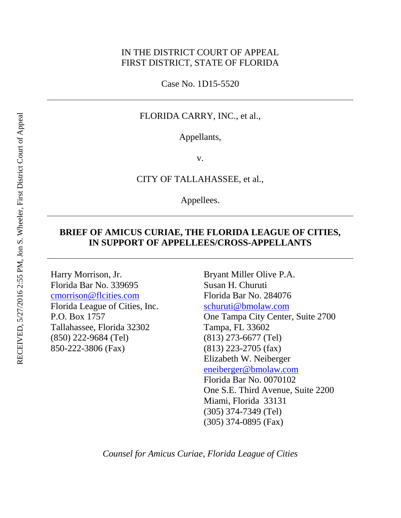### IN THE DISTRICT COURT OF APPEAL FIRST DISTRICT, STATE OF FLORIDA

Case No. 1D15-5520

#### FLORIDA CARRY, INC., et al.,

Appellants,

v.

#### CITY OF TALLAHASSEE, et al.,

Appellees.

### **BRIEF OF AMICUS CURIAE, THE FLORIDA LEAGUE OF CITIES, IN SUPPORT OF APPELLEES/CROSS-APPELLANTS**

Harry Morrison, Jr. Florida Bar No. 339695 [cmorrison@flcities.com](mailto:cmorrison@flcities.com) Florida League of Cities, Inc. P.O. Box 1757 Tallahassee, Florida 32302 (850) 222-9684 (Tel) 850-222-3806 (Fax)

Bryant Miller Olive P.A. Susan H. Churuti Florida Bar No. 284076 [schuruti@bmolaw.com](mailto:schuruti@bmolaw.com) One Tampa City Center, Suite 2700 Tampa, FL 33602 (813) 273-6677 (Tel) (813) 223-2705 (fax) Elizabeth W. Neiberger [eneiberger@bmolaw.com](mailto:eneiberger@bmolaw.com) Florida Bar No. 0070102 One S.E. Third Avenue, Suite 2200 Miami, Florida 33131 (305) 374-7349 (Tel) (305) 374-0895 (Fax)

*Counsel for Amicus Curiae, Florida League of Cities*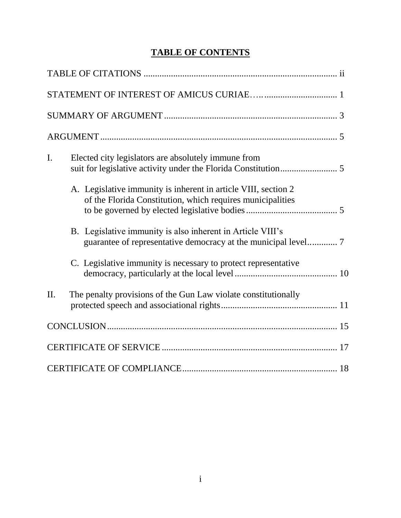# **TABLE OF CONTENTS**

| $\mathbf{I}$ . | Elected city legislators are absolutely immune from                                                                          |  |
|----------------|------------------------------------------------------------------------------------------------------------------------------|--|
|                | A. Legislative immunity is inherent in article VIII, section 2<br>of the Florida Constitution, which requires municipalities |  |
|                | B. Legislative immunity is also inherent in Article VIII's                                                                   |  |
|                | C. Legislative immunity is necessary to protect representative                                                               |  |
| II.            | The penalty provisions of the Gun Law violate constitutionally                                                               |  |
|                |                                                                                                                              |  |
|                |                                                                                                                              |  |
|                |                                                                                                                              |  |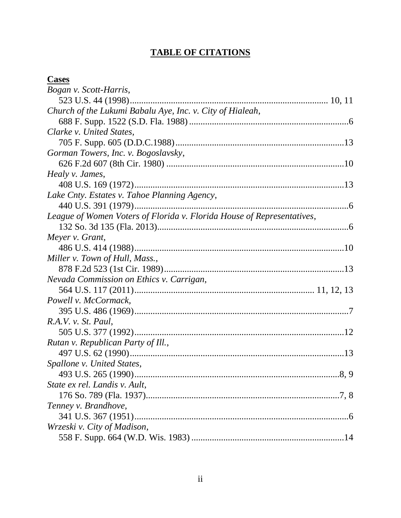# **TABLE OF CITATIONS**

# **Cases**

| <b>Cases</b>                                                           |  |
|------------------------------------------------------------------------|--|
| Bogan v. Scott-Harris,                                                 |  |
|                                                                        |  |
| Church of the Lukumi Babalu Aye, Inc. v. City of Hialeah,              |  |
|                                                                        |  |
| Clarke v. United States,                                               |  |
|                                                                        |  |
| Gorman Towers, Inc. v. Bogoslavsky,                                    |  |
|                                                                        |  |
| Healy v. James,                                                        |  |
|                                                                        |  |
| Lake Cnty. Estates v. Tahoe Planning Agency,                           |  |
|                                                                        |  |
| League of Women Voters of Florida v. Florida House of Representatives, |  |
|                                                                        |  |
| Meyer v. Grant,                                                        |  |
|                                                                        |  |
| Miller v. Town of Hull, Mass.,                                         |  |
|                                                                        |  |
| Nevada Commission on Ethics v. Carrigan,                               |  |
|                                                                        |  |
| Powell v. McCormack,                                                   |  |
|                                                                        |  |
| R.A.V. v. St. Paul,                                                    |  |
|                                                                        |  |
| Rutan v. Republican Party of Ill.,                                     |  |
|                                                                        |  |
| Spallone v. United States,                                             |  |
|                                                                        |  |
| State ex rel. Landis v. Ault,                                          |  |
|                                                                        |  |
| Tenney v. Brandhove,                                                   |  |
|                                                                        |  |
| Wrzeski v. City of Madison,                                            |  |
|                                                                        |  |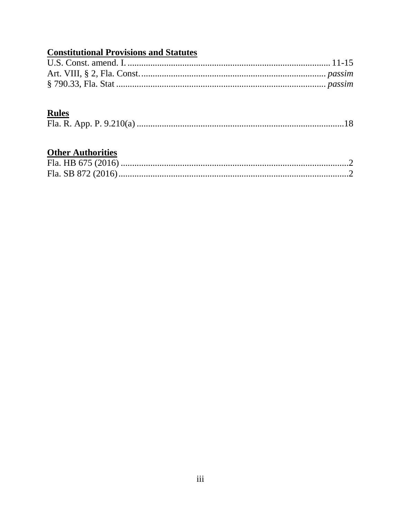# **Constitutional Provisions and Statutes**

## **Rules**

## **Other Authorities**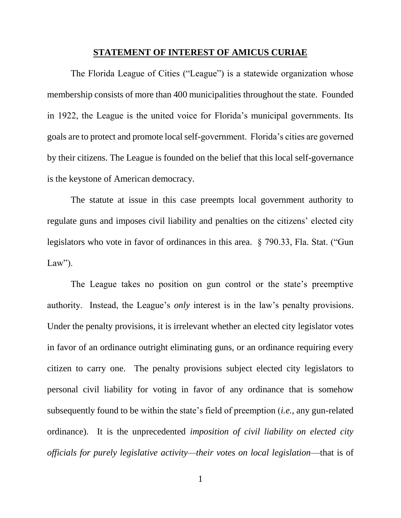#### **STATEMENT OF INTEREST OF AMICUS CURIAE**

The Florida League of Cities ("League") is a statewide organization whose membership consists of more than 400 municipalities throughout the state. Founded in 1922, the League is the united voice for Florida's municipal governments. Its goals are to protect and promote local self-government. Florida's cities are governed by their citizens. The League is founded on the belief that this local self-governance is the keystone of American democracy.

The statute at issue in this case preempts local government authority to regulate guns and imposes civil liability and penalties on the citizens' elected city legislators who vote in favor of ordinances in this area. § 790.33, Fla. Stat. ("Gun  $Law$ ").

The League takes no position on gun control or the state's preemptive authority. Instead, the League's *only* interest is in the law's penalty provisions. Under the penalty provisions, it is irrelevant whether an elected city legislator votes in favor of an ordinance outright eliminating guns, or an ordinance requiring every citizen to carry one. The penalty provisions subject elected city legislators to personal civil liability for voting in favor of any ordinance that is somehow subsequently found to be within the state's field of preemption (*i.e.*, any gun-related ordinance). It is the unprecedented *imposition of civil liability on elected city officials for purely legislative activity—their votes on local legislation*—that is of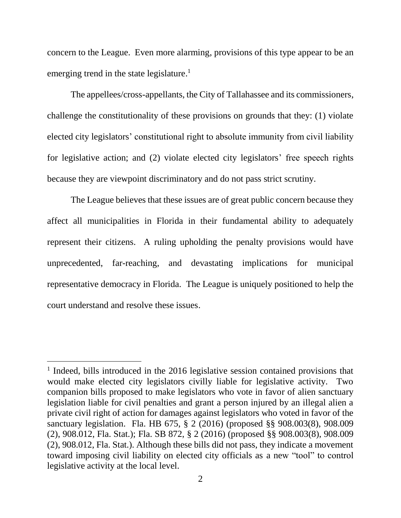concern to the League. Even more alarming, provisions of this type appear to be an emerging trend in the state legislature.<sup>1</sup>

The appellees/cross-appellants, the City of Tallahassee and its commissioners, challenge the constitutionality of these provisions on grounds that they: (1) violate elected city legislators' constitutional right to absolute immunity from civil liability for legislative action; and (2) violate elected city legislators' free speech rights because they are viewpoint discriminatory and do not pass strict scrutiny.

The League believes that these issues are of great public concern because they affect all municipalities in Florida in their fundamental ability to adequately represent their citizens. A ruling upholding the penalty provisions would have unprecedented, far-reaching, and devastating implications for municipal representative democracy in Florida. The League is uniquely positioned to help the court understand and resolve these issues.

l

<sup>&</sup>lt;sup>1</sup> Indeed, bills introduced in the 2016 legislative session contained provisions that would make elected city legislators civilly liable for legislative activity. Two companion bills proposed to make legislators who vote in favor of alien sanctuary legislation liable for civil penalties and grant a person injured by an illegal alien a private civil right of action for damages against legislators who voted in favor of the sanctuary legislation. Fla. HB 675, § 2 (2016) (proposed §§ 908.003(8), 908.009 (2), 908.012, Fla. Stat.); Fla. SB 872, § 2 (2016) (proposed §§ 908.003(8), 908.009 (2), 908.012, Fla. Stat.). Although these bills did not pass, they indicate a movement toward imposing civil liability on elected city officials as a new "tool" to control legislative activity at the local level.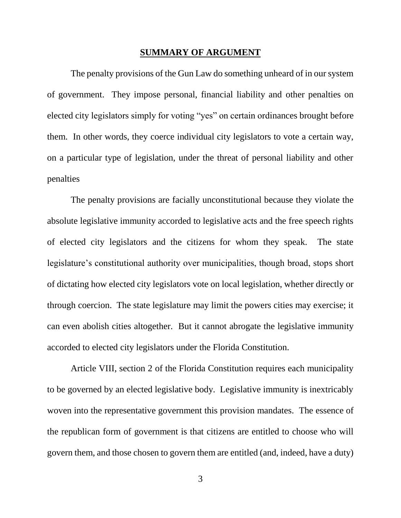#### **SUMMARY OF ARGUMENT**

The penalty provisions of the Gun Law do something unheard of in our system of government. They impose personal, financial liability and other penalties on elected city legislators simply for voting "yes" on certain ordinances brought before them. In other words, they coerce individual city legislators to vote a certain way, on a particular type of legislation, under the threat of personal liability and other penalties

The penalty provisions are facially unconstitutional because they violate the absolute legislative immunity accorded to legislative acts and the free speech rights of elected city legislators and the citizens for whom they speak. The state legislature's constitutional authority over municipalities, though broad, stops short of dictating how elected city legislators vote on local legislation, whether directly or through coercion. The state legislature may limit the powers cities may exercise; it can even abolish cities altogether. But it cannot abrogate the legislative immunity accorded to elected city legislators under the Florida Constitution.

Article VIII, section 2 of the Florida Constitution requires each municipality to be governed by an elected legislative body. Legislative immunity is inextricably woven into the representative government this provision mandates. The essence of the republican form of government is that citizens are entitled to choose who will govern them, and those chosen to govern them are entitled (and, indeed, have a duty)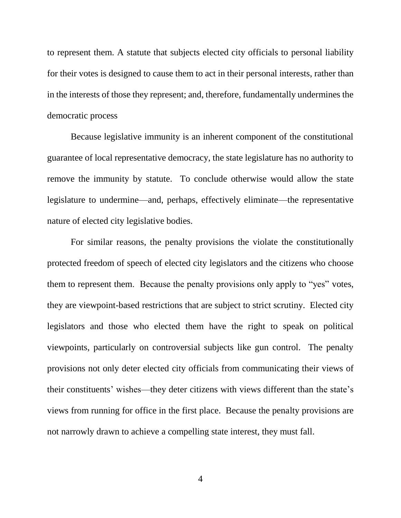to represent them. A statute that subjects elected city officials to personal liability for their votes is designed to cause them to act in their personal interests, rather than in the interests of those they represent; and, therefore, fundamentally undermines the democratic process

Because legislative immunity is an inherent component of the constitutional guarantee of local representative democracy, the state legislature has no authority to remove the immunity by statute. To conclude otherwise would allow the state legislature to undermine—and, perhaps, effectively eliminate—the representative nature of elected city legislative bodies.

For similar reasons, the penalty provisions the violate the constitutionally protected freedom of speech of elected city legislators and the citizens who choose them to represent them. Because the penalty provisions only apply to "yes" votes, they are viewpoint-based restrictions that are subject to strict scrutiny. Elected city legislators and those who elected them have the right to speak on political viewpoints, particularly on controversial subjects like gun control. The penalty provisions not only deter elected city officials from communicating their views of their constituents' wishes—they deter citizens with views different than the state's views from running for office in the first place. Because the penalty provisions are not narrowly drawn to achieve a compelling state interest, they must fall.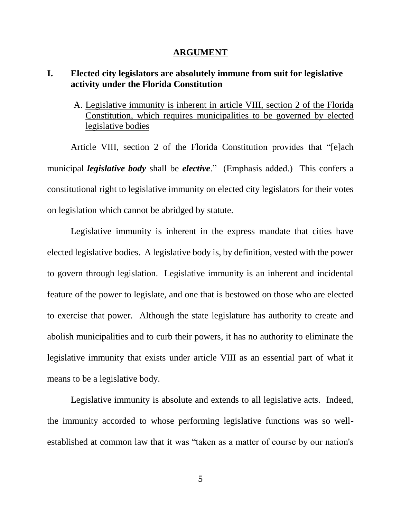#### **ARGUMENT**

## **I. Elected city legislators are absolutely immune from suit for legislative activity under the Florida Constitution**

A. Legislative immunity is inherent in article VIII, section 2 of the Florida Constitution, which requires municipalities to be governed by elected legislative bodies

Article VIII, section 2 of the Florida Constitution provides that "[e]ach municipal *legislative body* shall be *elective*." (Emphasis added.) This confers a constitutional right to legislative immunity on elected city legislators for their votes on legislation which cannot be abridged by statute.

Legislative immunity is inherent in the express mandate that cities have elected legislative bodies. A legislative body is, by definition, vested with the power to govern through legislation. Legislative immunity is an inherent and incidental feature of the power to legislate, and one that is bestowed on those who are elected to exercise that power. Although the state legislature has authority to create and abolish municipalities and to curb their powers, it has no authority to eliminate the legislative immunity that exists under article VIII as an essential part of what it means to be a legislative body.

Legislative immunity is absolute and extends to all legislative acts. Indeed, the immunity accorded to whose performing legislative functions was so wellestablished at common law that it was "taken as a matter of course by our nation's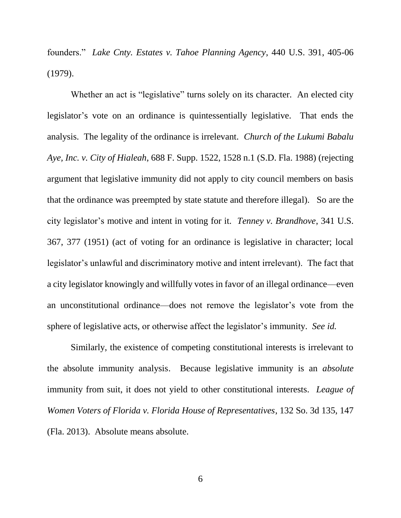founders." *Lake Cnty. Estates v. Tahoe Planning Agency*, 440 U.S. 391, 405-06 (1979).

Whether an act is "legislative" turns solely on its character. An elected city legislator's vote on an ordinance is quintessentially legislative. That ends the analysis. The legality of the ordinance is irrelevant. *Church of the Lukumi Babalu Aye, Inc. v. City of Hialeah*, 688 F. Supp. 1522, 1528 n.1 (S.D. Fla. 1988) (rejecting argument that legislative immunity did not apply to city council members on basis that the ordinance was preempted by state statute and therefore illegal). So are the city legislator's motive and intent in voting for it. *Tenney v. Brandhove*, 341 U.S. 367, 377 (1951) (act of voting for an ordinance is legislative in character; local legislator's unlawful and discriminatory motive and intent irrelevant). The fact that a city legislator knowingly and willfully votes in favor of an illegal ordinance—even an unconstitutional ordinance—does not remove the legislator's vote from the sphere of legislative acts, or otherwise affect the legislator's immunity. *See id.*

Similarly, the existence of competing constitutional interests is irrelevant to the absolute immunity analysis. Because legislative immunity is an *absolute* immunity from suit, it does not yield to other constitutional interests. *League of Women Voters of Florida v. Florida House of Representatives*, 132 So. 3d 135, 147 (Fla. 2013). Absolute means absolute.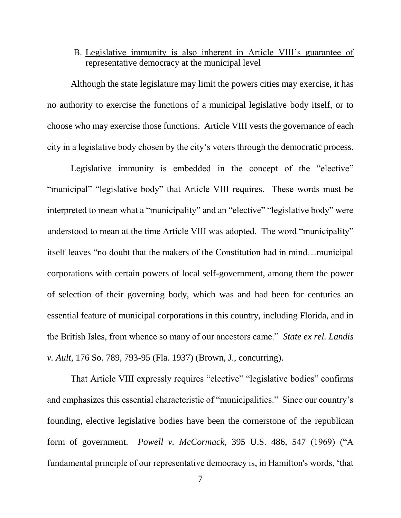## B. Legislative immunity is also inherent in Article VIII's guarantee of representative democracy at the municipal level

Although the state legislature may limit the powers cities may exercise, it has no authority to exercise the functions of a municipal legislative body itself, or to choose who may exercise those functions. Article VIII vests the governance of each city in a legislative body chosen by the city's voters through the democratic process.

Legislative immunity is embedded in the concept of the "elective" "municipal" "legislative body" that Article VIII requires. These words must be interpreted to mean what a "municipality" and an "elective" "legislative body" were understood to mean at the time Article VIII was adopted. The word "municipality" itself leaves "no doubt that the makers of the Constitution had in mind…municipal corporations with certain powers of local self-government, among them the power of selection of their governing body, which was and had been for centuries an essential feature of municipal corporations in this country, including Florida, and in the British Isles, from whence so many of our ancestors came." *State ex rel. Landis v. Ault*, 176 So. 789, 793-95 (Fla. 1937) (Brown, J., concurring).

That Article VIII expressly requires "elective" "legislative bodies" confirms and emphasizes this essential characteristic of "municipalities." Since our country's founding, elective legislative bodies have been the cornerstone of the republican form of government. *Powell v. McCormack,* 395 U.S. 486, 547 (1969) ("A fundamental principle of our representative democracy is, in Hamilton's words, 'that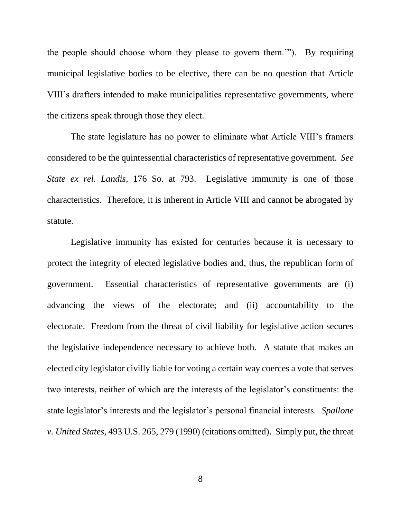the people should choose whom they please to govern them.'"). By requiring municipal legislative bodies to be elective, there can be no question that Article VIII's drafters intended to make municipalities representative governments, where the citizens speak through those they elect.

The state legislature has no power to eliminate what Article VIII's framers considered to be the quintessential characteristics of representative government. *See State ex rel. Landis*, 176 So. at 793. Legislative immunity is one of those characteristics. Therefore, it is inherent in Article VIII and cannot be abrogated by statute.

Legislative immunity has existed for centuries because it is necessary to protect the integrity of elected legislative bodies and, thus, the republican form of government. Essential characteristics of representative governments are (i) advancing the views of the electorate; and (ii) accountability to the electorate. Freedom from the threat of civil liability for legislative action secures the legislative independence necessary to achieve both. A statute that makes an elected city legislator civilly liable for voting a certain way coerces a vote that serves two interests, neither of which are the interests of the legislator's constituents: the state legislator's interests and the legislator's personal financial interests. *Spallone v. United States*, 493 U.S. 265, 279 (1990) (citations omitted). Simply put, the threat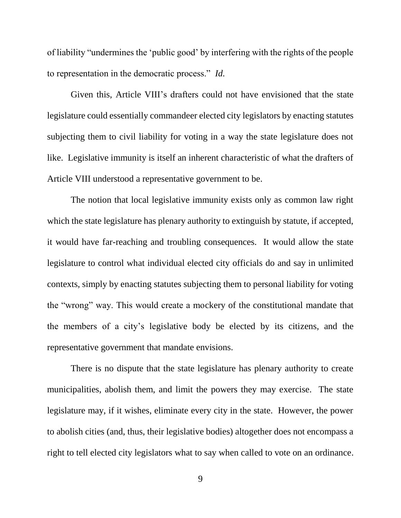of liability "undermines the 'public good' by interfering with the rights of the people to representation in the democratic process." *Id.* 

Given this, Article VIII's drafters could not have envisioned that the state legislature could essentially commandeer elected city legislators by enacting statutes subjecting them to civil liability for voting in a way the state legislature does not like. Legislative immunity is itself an inherent characteristic of what the drafters of Article VIII understood a representative government to be.

The notion that local legislative immunity exists only as common law right which the state legislature has plenary authority to extinguish by statute, if accepted, it would have far-reaching and troubling consequences. It would allow the state legislature to control what individual elected city officials do and say in unlimited contexts, simply by enacting statutes subjecting them to personal liability for voting the "wrong" way. This would create a mockery of the constitutional mandate that the members of a city's legislative body be elected by its citizens, and the representative government that mandate envisions.

There is no dispute that the state legislature has plenary authority to create municipalities, abolish them, and limit the powers they may exercise. The state legislature may, if it wishes, eliminate every city in the state. However, the power to abolish cities (and, thus, their legislative bodies) altogether does not encompass a right to tell elected city legislators what to say when called to vote on an ordinance.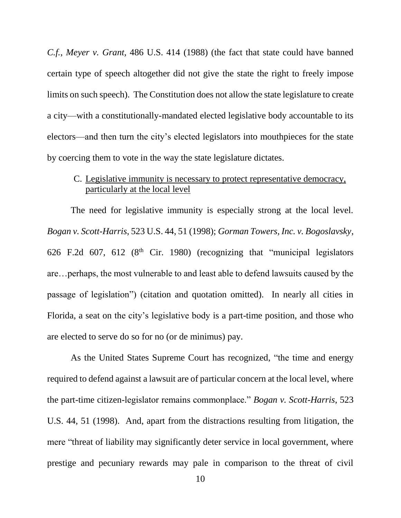*C.f.*, *Meyer v. Grant,* 486 U.S. 414 (1988) (the fact that state could have banned certain type of speech altogether did not give the state the right to freely impose limits on such speech). The Constitution does not allow the state legislature to create a city—with a constitutionally-mandated elected legislative body accountable to its electors—and then turn the city's elected legislators into mouthpieces for the state by coercing them to vote in the way the state legislature dictates.

## C. Legislative immunity is necessary to protect representative democracy, particularly at the local level

The need for legislative immunity is especially strong at the local level. *Bogan v. Scott-Harris*, 523 U.S. 44, 51 (1998); *Gorman Towers, Inc. v. Bogoslavsky*, 626 F.2d 607, 612 ( $8<sup>th</sup>$  Cir. 1980) (recognizing that "municipal legislators are…perhaps, the most vulnerable to and least able to defend lawsuits caused by the passage of legislation") (citation and quotation omitted). In nearly all cities in Florida, a seat on the city's legislative body is a part-time position, and those who are elected to serve do so for no (or de minimus) pay.

As the United States Supreme Court has recognized, "the time and energy required to defend against a lawsuit are of particular concern at the local level, where the part-time citizen-legislator remains commonplace." *Bogan v. Scott-Harris*, 523 U.S. 44, 51 (1998). And, apart from the distractions resulting from litigation, the mere "threat of liability may significantly deter service in local government, where prestige and pecuniary rewards may pale in comparison to the threat of civil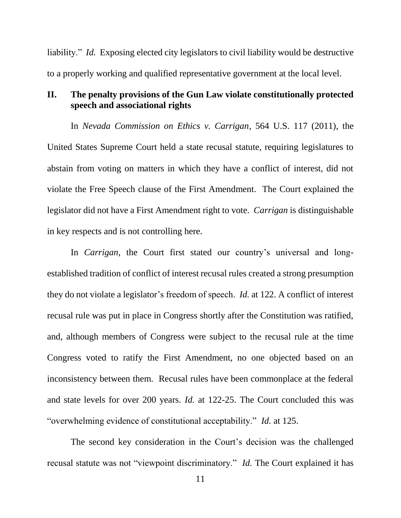liability." *Id.* Exposing elected city legislators to civil liability would be destructive to a properly working and qualified representative government at the local level.

## **II. The penalty provisions of the Gun Law violate constitutionally protected speech and associational rights**

In *Nevada Commission on Ethics v. Carrigan*, 564 U.S. 117 (2011), the United States Supreme Court held a state recusal statute, requiring legislatures to abstain from voting on matters in which they have a conflict of interest, did not violate the Free Speech clause of the First Amendment. The Court explained the legislator did not have a First Amendment right to vote. *Carrigan* is distinguishable in key respects and is not controlling here.

In *Carrigan*, the Court first stated our country's universal and longestablished tradition of conflict of interest recusal rules created a strong presumption they do not violate a legislator's freedom of speech. *Id.* at 122. A conflict of interest recusal rule was put in place in Congress shortly after the Constitution was ratified, and, although members of Congress were subject to the recusal rule at the time Congress voted to ratify the First Amendment, no one objected based on an inconsistency between them. Recusal rules have been commonplace at the federal and state levels for over 200 years. *Id.* at 122-25. The Court concluded this was "overwhelming evidence of constitutional acceptability." *Id.* at 125.

The second key consideration in the Court's decision was the challenged recusal statute was not "viewpoint discriminatory." *Id.* The Court explained it has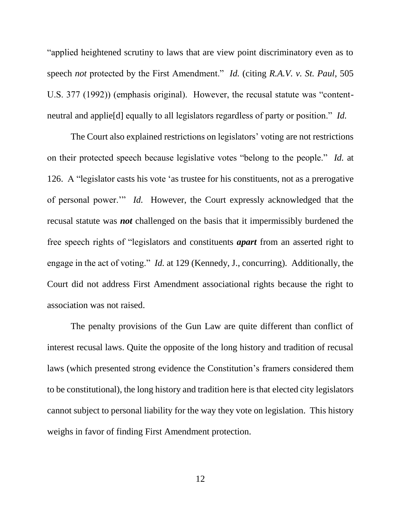"applied heightened scrutiny to laws that are view point discriminatory even as to speech *not* protected by the First Amendment." *Id.* (citing *R.A.V. v. St. Paul*, 505 U.S. 377 (1992)) (emphasis original). However, the recusal statute was "contentneutral and applie[d] equally to all legislators regardless of party or position." *Id.*

The Court also explained restrictions on legislators' voting are not restrictions on their protected speech because legislative votes "belong to the people." *Id.* at 126. A "legislator casts his vote 'as trustee for his constituents, not as a prerogative of personal power.'" *Id.* However, the Court expressly acknowledged that the recusal statute was *not* challenged on the basis that it impermissibly burdened the free speech rights of "legislators and constituents *apart* from an asserted right to engage in the act of voting." *Id.* at 129 (Kennedy, J., concurring). Additionally, the Court did not address First Amendment associational rights because the right to association was not raised.

The penalty provisions of the Gun Law are quite different than conflict of interest recusal laws. Quite the opposite of the long history and tradition of recusal laws (which presented strong evidence the Constitution's framers considered them to be constitutional), the long history and tradition here is that elected city legislators cannot subject to personal liability for the way they vote on legislation. This history weighs in favor of finding First Amendment protection.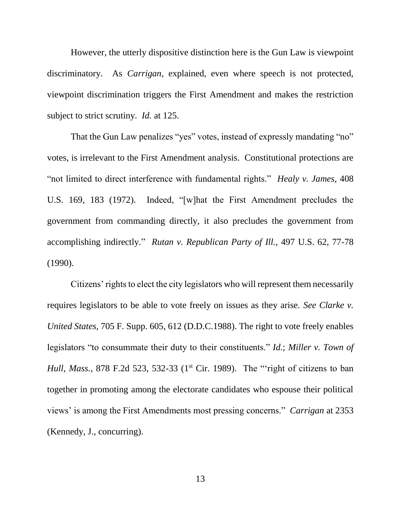However, the utterly dispositive distinction here is the Gun Law is viewpoint discriminatory. As *Carrigan*, explained, even where speech is not protected, viewpoint discrimination triggers the First Amendment and makes the restriction subject to strict scrutiny. *Id.* at 125.

That the Gun Law penalizes "yes" votes, instead of expressly mandating "no" votes, is irrelevant to the First Amendment analysis. Constitutional protections are "not limited to direct interference with fundamental rights." *Healy v. James*, 408 U.S. 169, 183 (1972). Indeed, "[w]hat the First Amendment precludes the government from commanding directly, it also precludes the government from accomplishing indirectly." *Rutan v. Republican Party of Ill.*, 497 U.S. 62, 77-78 (1990).

Citizens' rights to elect the city legislators who will represent them necessarily requires legislators to be able to vote freely on issues as they arise. *See Clarke v. United States,* 705 F. Supp. 605, 612 (D.D.C.1988). The right to vote freely enables legislators "to consummate their duty to their constituents." *Id.*; *Miller v. Town of Hull, Mass.*, 878 F.2d 523, 532-33 (1<sup>st</sup> Cir. 1989). The "'right of citizens to ban together in promoting among the electorate candidates who espouse their political views' is among the First Amendments most pressing concerns." *Carrigan* at 2353 (Kennedy, J., concurring).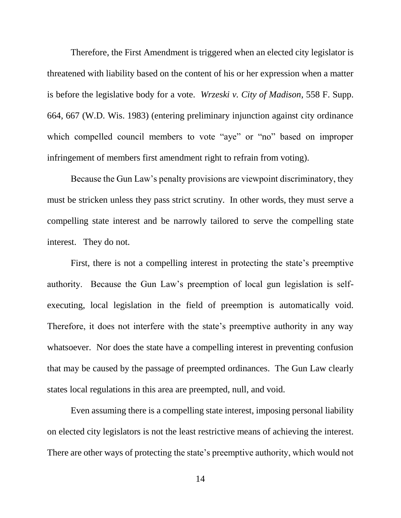Therefore, the First Amendment is triggered when an elected city legislator is threatened with liability based on the content of his or her expression when a matter is before the legislative body for a vote. *Wrzeski v. City of Madison*, 558 F. Supp. 664, 667 (W.D. Wis. 1983) (entering preliminary injunction against city ordinance which compelled council members to vote "aye" or "no" based on improper infringement of members first amendment right to refrain from voting).

Because the Gun Law's penalty provisions are viewpoint discriminatory, they must be stricken unless they pass strict scrutiny. In other words, they must serve a compelling state interest and be narrowly tailored to serve the compelling state interest. They do not.

First, there is not a compelling interest in protecting the state's preemptive authority. Because the Gun Law's preemption of local gun legislation is selfexecuting, local legislation in the field of preemption is automatically void. Therefore, it does not interfere with the state's preemptive authority in any way whatsoever. Nor does the state have a compelling interest in preventing confusion that may be caused by the passage of preempted ordinances. The Gun Law clearly states local regulations in this area are preempted, null, and void.

Even assuming there is a compelling state interest, imposing personal liability on elected city legislators is not the least restrictive means of achieving the interest. There are other ways of protecting the state's preemptive authority, which would not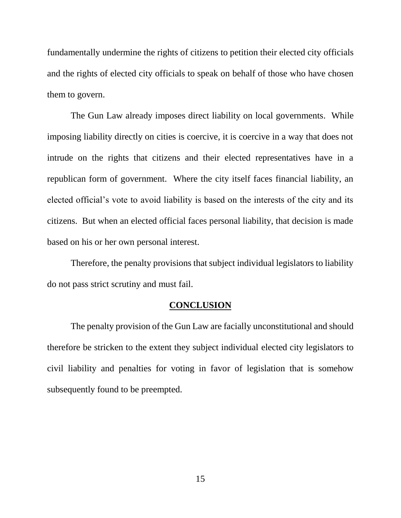fundamentally undermine the rights of citizens to petition their elected city officials and the rights of elected city officials to speak on behalf of those who have chosen them to govern.

The Gun Law already imposes direct liability on local governments. While imposing liability directly on cities is coercive, it is coercive in a way that does not intrude on the rights that citizens and their elected representatives have in a republican form of government. Where the city itself faces financial liability, an elected official's vote to avoid liability is based on the interests of the city and its citizens. But when an elected official faces personal liability, that decision is made based on his or her own personal interest.

Therefore, the penalty provisions that subject individual legislators to liability do not pass strict scrutiny and must fail.

### **CONCLUSION**

The penalty provision of the Gun Law are facially unconstitutional and should therefore be stricken to the extent they subject individual elected city legislators to civil liability and penalties for voting in favor of legislation that is somehow subsequently found to be preempted.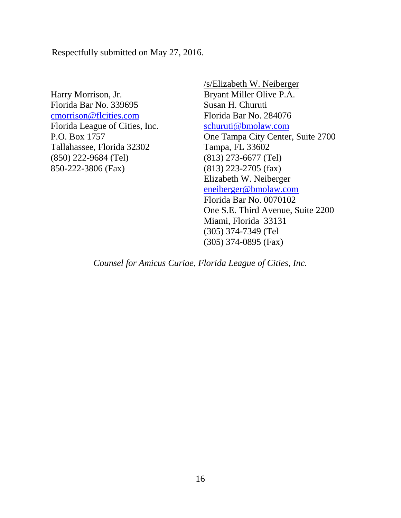Respectfully submitted on May 27, 2016.

Harry Morrison, Jr. Florida Bar No. 339695 [cmorrison@flcities.com](mailto:cmorrison@flcities.com) Florida League of Cities, Inc. P.O. Box 1757 Tallahassee, Florida 32302 (850) 222-9684 (Tel) 850-222-3806 (Fax)

/s/Elizabeth W. Neiberger Bryant Miller Olive P.A. Susan H. Churuti Florida Bar No. 284076 [schuruti@bmolaw.com](mailto:schuruti@bmolaw.com) One Tampa City Center, Suite 2700 Tampa, FL 33602 (813) 273-6677 (Tel) (813) 223-2705 (fax) Elizabeth W. Neiberger [eneiberger@bmolaw.com](mailto:eneiberger@bmolaw.com) Florida Bar No. 0070102 One S.E. Third Avenue, Suite 2200 Miami, Florida 33131 (305) 374-7349 (Tel (305) 374-0895 (Fax)

*Counsel for Amicus Curiae, Florida League of Cities, Inc.*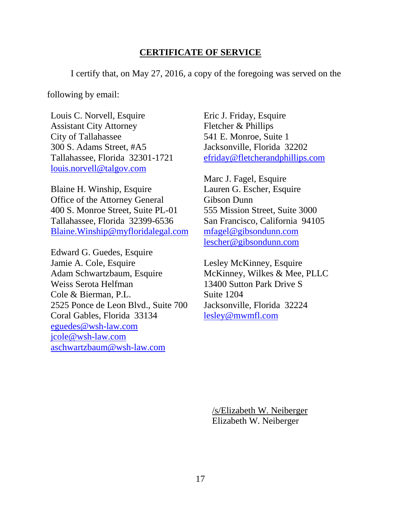### **CERTIFICATE OF SERVICE**

I certify that, on May 27, 2016, a copy of the foregoing was served on the

following by email:

Louis C. Norvell, Esquire Assistant City Attorney City of Tallahassee 300 S. Adams Street, #A5 Tallahassee, Florida 32301-1721 [louis.norvell@talgov.com](mailto:louis.norvell@talgov.com)

Blaine H. Winship, Esquire Office of the Attorney General 400 S. Monroe Street, Suite PL-01 Tallahassee, Florida 32399-6536 [Blaine.Winship@myfloridalegal.com](mailto:Blaine.Winship@myfloridalegal.com)

Edward G. Guedes, Esquire Jamie A. Cole, Esquire Adam Schwartzbaum, Esquire Weiss Serota Helfman Cole & Bierman, P.L. 2525 Ponce de Leon Blvd., Suite 700 Coral Gables, Florida 33134 [eguedes@wsh-law.com](mailto:eguedes@wsh-law.com) [jcole@wsh-law.com](mailto:jcole@wsh-law.com) [aschwartzbaum@wsh-law.com](mailto:aschwartzbaum@wsh-law.com)

Eric J. Friday, Esquire Fletcher & Phillips 541 E. Monroe, Suite 1 Jacksonville, Florida 32202 [efriday@fletcherandphillips.com](mailto:efriday@fletcherandphillips.com)

Marc J. Fagel, Esquire Lauren G. Escher, Esquire Gibson Dunn 555 Mission Street, Suite 3000 San Francisco, California 94105 [mfagel@gibsondunn.com](mailto:mfagel@gibsondunn.com) [lescher@gibsondunn.com](mailto:lescher@gibsondunn.com)

Lesley McKinney, Esquire McKinney, Wilkes & Mee, PLLC 13400 Sutton Park Drive S Suite 1204 Jacksonville, Florida 32224 [lesley@mwmfl.com](mailto:lesley@mwmfl.com)

/s/Elizabeth W. Neiberger Elizabeth W. Neiberger